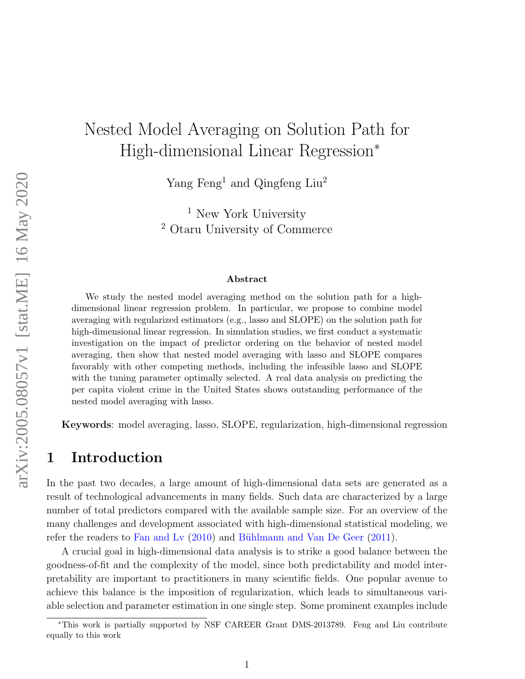# Nested Model Averaging on Solution Path for High-dimensional Linear Regression<sup>∗</sup>

Yang Feng<sup>1</sup> and Qingfeng Liu<sup>2</sup>

<sup>1</sup> New York University <sup>2</sup> Otaru University of Commerce

#### Abstract

We study the nested model averaging method on the solution path for a highdimensional linear regression problem. In particular, we propose to combine model averaging with regularized estimators (e.g., lasso and SLOPE) on the solution path for high-dimensional linear regression. In simulation studies, we first conduct a systematic investigation on the impact of predictor ordering on the behavior of nested model averaging, then show that nested model averaging with lasso and SLOPE compares favorably with other competing methods, including the infeasible lasso and SLOPE with the tuning parameter optimally selected. A real data analysis on predicting the per capita violent crime in the United States shows outstanding performance of the nested model averaging with lasso.

Keywords: model averaging, lasso, SLOPE, regularization, high-dimensional regression

# 1 Introduction

In the past two decades, a large amount of high-dimensional data sets are generated as a result of technological advancements in many fields. Such data are characterized by a large number of total predictors compared with the available sample size. For an overview of the many challenges and development associated with high-dimensional statistical modeling, we refer the readers to [Fan and Lv](#page-13-0)  $(2010)$  and Bühlmann and Van De Geer  $(2011)$ .

A crucial goal in high-dimensional data analysis is to strike a good balance between the goodness-of-fit and the complexity of the model, since both predictability and model interpretability are important to practitioners in many scientific fields. One popular avenue to achieve this balance is the imposition of regularization, which leads to simultaneous variable selection and parameter estimation in one single step. Some prominent examples include

<sup>∗</sup>This work is partially supported by NSF CAREER Grant DMS-2013789. Feng and Liu contribute equally to this work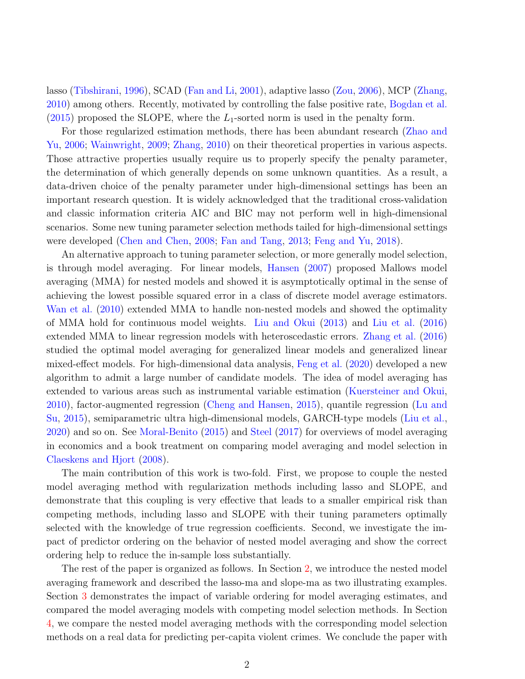lasso [\(Tibshirani,](#page-14-0) [1996\)](#page-14-0), SCAD [\(Fan and Li,](#page-12-1) [2001\)](#page-12-1), adaptive lasso [\(Zou,](#page-14-1) [2006\)](#page-14-1), MCP [\(Zhang,](#page-14-2) [2010\)](#page-14-2) among others. Recently, motivated by controlling the false positive rate, [Bogdan et al.](#page-12-2) [\(2015\)](#page-12-2) proposed the SLOPE, where the  $L_1$ -sorted norm is used in the penalty form.

For those regularized estimation methods, there has been abundant research [\(Zhao and](#page-14-3) [Yu,](#page-14-3) [2006;](#page-14-3) [Wainwright,](#page-14-4) [2009;](#page-14-4) [Zhang,](#page-14-2) [2010\)](#page-14-2) on their theoretical properties in various aspects. Those attractive properties usually require us to properly specify the penalty parameter, the determination of which generally depends on some unknown quantities. As a result, a data-driven choice of the penalty parameter under high-dimensional settings has been an important research question. It is widely acknowledged that the traditional cross-validation and classic information criteria AIC and BIC may not perform well in high-dimensional scenarios. Some new tuning parameter selection methods tailed for high-dimensional settings were developed [\(Chen and Chen,](#page-12-3) [2008;](#page-12-3) [Fan and Tang,](#page-13-1) [2013;](#page-13-1) [Feng and Yu,](#page-13-2) [2018\)](#page-13-2).

An alternative approach to tuning parameter selection, or more generally model selection, is through model averaging. For linear models, [Hansen](#page-13-3) [\(2007\)](#page-13-3) proposed Mallows model averaging (MMA) for nested models and showed it is asymptotically optimal in the sense of achieving the lowest possible squared error in a class of discrete model average estimators. [Wan et al.](#page-14-5) [\(2010\)](#page-14-5) extended MMA to handle non-nested models and showed the optimality of MMA hold for continuous model weights. [Liu and Okui](#page-13-4) [\(2013\)](#page-13-4) and [Liu et al.](#page-13-5) [\(2016\)](#page-13-5) extended MMA to linear regression models with heteroscedastic errors. [Zhang et al.](#page-14-6) [\(2016\)](#page-14-6) studied the optimal model averaging for generalized linear models and generalized linear mixed-effect models. For high-dimensional data analysis, [Feng et al.](#page-13-6) [\(2020\)](#page-13-6) developed a new algorithm to admit a large number of candidate models. The idea of model averaging has extended to various areas such as instrumental variable estimation [\(Kuersteiner and Okui,](#page-13-7) [2010\)](#page-13-7), factor-augmented regression [\(Cheng and Hansen,](#page-12-4) [2015\)](#page-12-4), quantile regression [\(Lu and](#page-13-8) [Su,](#page-13-8) [2015\)](#page-13-8), semiparametric ultra high-dimensional models, GARCH-type models [\(Liu et al.,](#page-13-9) [2020\)](#page-13-9) and so on. See [Moral-Benito](#page-13-10) [\(2015\)](#page-13-10) and [Steel](#page-14-7) [\(2017\)](#page-14-7) for overviews of model averaging in economics and a book treatment on comparing model averaging and model selection in [Claeskens and Hjort](#page-12-5) [\(2008\)](#page-12-5).

The main contribution of this work is two-fold. First, we propose to couple the nested model averaging method with regularization methods including lasso and SLOPE, and demonstrate that this coupling is very effective that leads to a smaller empirical risk than competing methods, including lasso and SLOPE with their tuning parameters optimally selected with the knowledge of true regression coefficients. Second, we investigate the impact of predictor ordering on the behavior of nested model averaging and show the correct ordering help to reduce the in-sample loss substantially.

The rest of the paper is organized as follows. In Section [2,](#page-2-0) we introduce the nested model averaging framework and described the lasso-ma and slope-ma as two illustrating examples. Section [3](#page-5-0) demonstrates the impact of variable ordering for model averaging estimates, and compared the model averaging models with competing model selection methods. In Section [4,](#page-11-0) we compare the nested model averaging methods with the corresponding model selection methods on a real data for predicting per-capita violent crimes. We conclude the paper with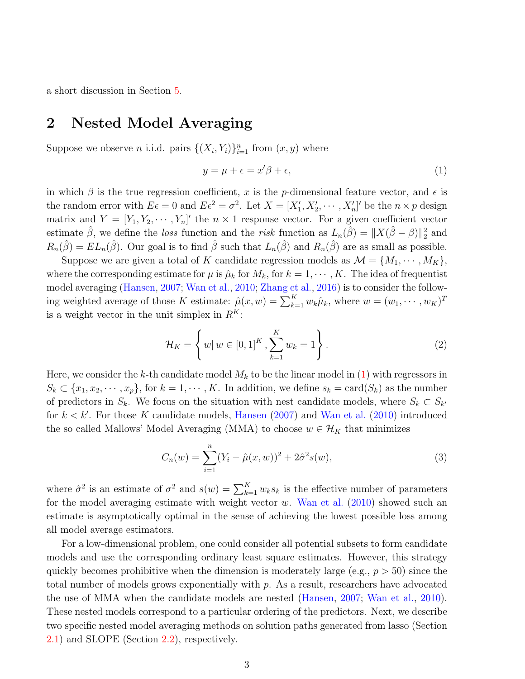a short discussion in Section [5.](#page-12-6)

# <span id="page-2-0"></span>2 Nested Model Averaging

Suppose we observe *n* i.i.d. pairs  $\{(X_i, Y_i)\}_{i=1}^n$  from  $(x, y)$  where

<span id="page-2-1"></span>
$$
y = \mu + \epsilon = x'\beta + \epsilon,\tag{1}
$$

in which  $\beta$  is the true regression coefficient, x is the p-dimensional feature vector, and  $\epsilon$  is the random error with  $E\epsilon = 0$  and  $E\epsilon^2 = \sigma^2$ . Let  $X = [X'_1, X'_2, \cdots, X'_n]'$  be the  $n \times p$  design matrix and  $Y = [Y_1, Y_2, \cdots, Y_n]'$  the  $n \times 1$  response vector. For a given coefficient vector estimate  $\hat{\beta}$ , we define the loss function and the risk function as  $L_n(\hat{\beta}) = ||X(\hat{\beta} - \beta)||_2^2$  and  $R_n(\hat{\beta}) = EL_n(\hat{\beta})$ . Our goal is to find  $\hat{\beta}$  such that  $L_n(\hat{\beta})$  and  $R_n(\hat{\beta})$  are as small as possible.

Suppose we are given a total of K candidate regression models as  $\mathcal{M} = \{M_1, \cdots, M_K\},\$ where the corresponding estimate for  $\mu$  is  $\hat{\mu}_k$  for  $M_k$ , for  $k = 1, \dots, K$ . The idea of frequentist model averaging [\(Hansen,](#page-13-3) [2007;](#page-13-3) [Wan et al.,](#page-14-5) [2010;](#page-14-5) [Zhang et al.,](#page-14-6) [2016\)](#page-14-6) is to consider the following weighted average of those K estimate:  $\hat{\mu}(x, w) = \sum_{k=1}^{K} w_k \hat{\mu}_k$ , where  $w = (w_1, \dots, w_K)^T$ is a weight vector in the unit simplex in  $R<sup>K</sup>$ :

$$
\mathcal{H}_K = \left\{ w \, | \, w \in [0,1]^K, \sum_{k=1}^K w_k = 1 \right\}.
$$
\n(2)

Here, we consider the k-th candidate model  $M_k$  to be the linear model in [\(1\)](#page-2-1) with regressors in  $S_k \subset \{x_1, x_2, \cdots, x_p\}$ , for  $k = 1, \cdots, K$ . In addition, we define  $s_k = \text{card}(S_k)$  as the number of predictors in  $S_k$ . We focus on the situation with nest candidate models, where  $S_k \subset S_{k'}$ for  $k < k'$ . For those K candidate models, [Hansen](#page-13-3) [\(2007\)](#page-13-3) and [Wan et al.](#page-14-5) [\(2010\)](#page-14-5) introduced the so called Mallows' Model Averaging (MMA) to choose  $w \in \mathcal{H}_K$  that minimizes

$$
C_n(w) = \sum_{i=1}^n (Y_i - \hat{\mu}(x, w))^2 + 2\hat{\sigma}^2 s(w), \tag{3}
$$

where  $\hat{\sigma}^2$  is an estimate of  $\sigma^2$  and  $s(w) = \sum_{k=1}^K w_k s_k$  is the effective number of parameters for the model averaging estimate with weight vector  $w$ . [Wan et al.](#page-14-5) [\(2010\)](#page-14-5) showed such an estimate is asymptotically optimal in the sense of achieving the lowest possible loss among all model average estimators.

For a low-dimensional problem, one could consider all potential subsets to form candidate models and use the corresponding ordinary least square estimates. However, this strategy quickly becomes prohibitive when the dimension is moderately large (e.g.,  $p > 50$ ) since the total number of models grows exponentially with p. As a result, researchers have advocated the use of MMA when the candidate models are nested [\(Hansen,](#page-13-3) [2007;](#page-13-3) [Wan et al.,](#page-14-5) [2010\)](#page-14-5). These nested models correspond to a particular ordering of the predictors. Next, we describe two specific nested model averaging methods on solution paths generated from lasso (Section [2.1\)](#page-3-0) and SLOPE (Section [2.2\)](#page-4-0), respectively.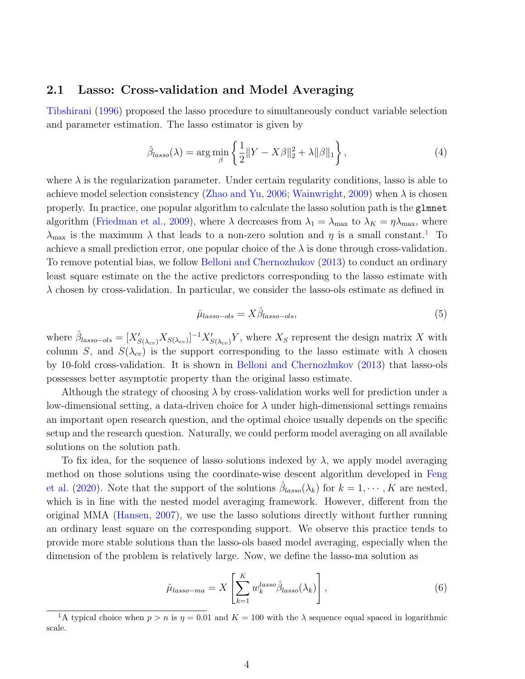#### <span id="page-3-0"></span>2.1 Lasso: Cross-validation and Model Averaging

[Tibshirani](#page-14-0) [\(1996\)](#page-14-0) proposed the lasso procedure to simultaneously conduct variable selection and parameter estimation. The lasso estimator is given by

$$
\hat{\beta}_{lasso}(\lambda) = \arg\min_{\beta} \left\{ \frac{1}{2} ||Y - X\beta||_2^2 + \lambda ||\beta||_1 \right\},\tag{4}
$$

where  $\lambda$  is the regularization parameter. Under certain regularity conditions, lasso is able to achieve model selection consistency [\(Zhao and Yu,](#page-14-3) [2006;](#page-14-3) [Wainwright,](#page-14-4) [2009\)](#page-14-4) when  $\lambda$  is chosen properly. In practice, one popular algorithm to calculate the lasso solution path is the glmnet algorithm [\(Friedman et al.,](#page-13-11) [2009\)](#page-13-11), where  $\lambda$  decreases from  $\lambda_1 = \lambda_{\text{max}}$  to  $\lambda_K = \eta \lambda_{\text{max}}$ , where  $\lambda_{\text{max}}$  is the maximum  $\lambda$  that leads to a non-zero solution and  $\eta$  is a small constant.<sup>[1](#page-3-1)</sup> To achieve a small prediction error, one popular choice of the  $\lambda$  is done through cross-validation. To remove potential bias, we follow [Belloni and Chernozhukov](#page-12-7) [\(2013\)](#page-12-7) to conduct an ordinary least square estimate on the the active predictors corresponding to the lasso estimate with  $\lambda$  chosen by cross-validation. In particular, we consider the lasso-ols estimate as defined in

$$
\hat{\mu}_{lasso-ols} = X \hat{\beta}_{lasso-ols},\tag{5}
$$

where  $\hat{\beta}_{lasso-ols} = [X'_{S(\lambda_{cv})} X_{S(\lambda_{cv})}]^{-1} X'_{S(\lambda_{cv})} Y$ , where  $X_S$  represent the design matrix X with column S, and  $S(\lambda_{cv})$  is the support corresponding to the lasso estimate with  $\lambda$  chosen by 10-fold cross-validation. It is shown in [Belloni and Chernozhukov](#page-12-7) [\(2013\)](#page-12-7) that lasso-ols possesses better asymptotic property than the original lasso estimate.

Although the strategy of choosing  $\lambda$  by cross-validation works well for prediction under a low-dimensional setting, a data-driven choice for  $\lambda$  under high-dimensional settings remains an important open research question, and the optimal choice usually depends on the specific setup and the research question. Naturally, we could perform model averaging on all available solutions on the solution path.

To fix idea, for the sequence of lasso solutions indexed by  $\lambda$ , we apply model averaging method on those solutions using the coordinate-wise descent algorithm developed in [Feng](#page-13-6) [et al.](#page-13-6) [\(2020\)](#page-13-6). Note that the support of the solutions  $\hat{\beta}_{lasso}(\lambda_k)$  for  $k = 1, \cdots, K$  are nested, which is in line with the nested model averaging framework. However, different from the original MMA [\(Hansen,](#page-13-3) [2007\)](#page-13-3), we use the lasso solutions directly without further running an ordinary least square on the corresponding support. We observe this practice tends to provide more stable solutions than the lasso-ols based model averaging, especially when the dimension of the problem is relatively large. Now, we define the lasso-ma solution as

$$
\hat{\mu}_{lasso-ma} = X \left[ \sum_{k=1}^{K} w_k^{lasso} \hat{\beta}_{lasso}(\lambda_k) \right], \qquad (6)
$$

<span id="page-3-1"></span><sup>&</sup>lt;sup>1</sup>A typical choice when  $p > n$  is  $\eta = 0.01$  and  $K = 100$  with the  $\lambda$  sequence equal spaced in logarithmic scale.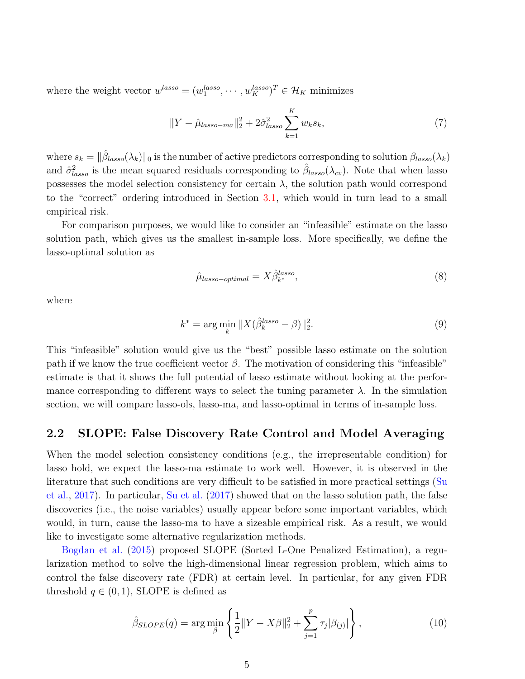where the weight vector  $w^{lasso} = (w_1^{lasso}, \dots, w_K^{lasso})^T \in \mathcal{H}_K$  minimizes

$$
||Y - \hat{\mu}_{lasso-ma}||_2^2 + 2\hat{\sigma}_{lasso}^2 \sum_{k=1}^K w_k s_k,
$$
\n(7)

where  $s_k = ||\hat{\beta}_{lasso}(\lambda_k)||_0$  is the number of active predictors corresponding to solution  $\beta_{lasso}(\lambda_k)$ and  $\hat{\sigma}_{lasso}^2$  is the mean squared residuals corresponding to  $\hat{\beta}_{lasso}(\lambda_{cv})$ . Note that when lasso possesses the model selection consistency for certain  $\lambda$ , the solution path would correspond to the "correct" ordering introduced in Section [3.1,](#page-6-0) which would in turn lead to a small empirical risk.

For comparison purposes, we would like to consider an "infeasible" estimate on the lasso solution path, which gives us the smallest in-sample loss. More specifically, we define the lasso-optimal solution as

$$
\hat{\mu}_{lasso-optimal} = X \hat{\beta}_{k^*}^{lasso},\tag{8}
$$

where

$$
k^* = \arg\min_k \|X(\hat{\beta}_k^{lasso} - \beta)\|_2^2.
$$
\n(9)

This "infeasible" solution would give us the "best" possible lasso estimate on the solution path if we know the true coefficient vector  $\beta$ . The motivation of considering this "infeasible" estimate is that it shows the full potential of lasso estimate without looking at the performance corresponding to different ways to select the tuning parameter  $\lambda$ . In the simulation section, we will compare lasso-ols, lasso-ma, and lasso-optimal in terms of in-sample loss.

#### <span id="page-4-0"></span>2.2 SLOPE: False Discovery Rate Control and Model Averaging

When the model selection consistency conditions (e.g., the irrepresentable condition) for lasso hold, we expect the lasso-ma estimate to work well. However, it is observed in the literature that such conditions are very difficult to be satisfied in more practical settings [\(Su](#page-14-8) [et al.,](#page-14-8) [2017\)](#page-14-8). In particular, [Su et al.](#page-14-8) [\(2017\)](#page-14-8) showed that on the lasso solution path, the false discoveries (i.e., the noise variables) usually appear before some important variables, which would, in turn, cause the lasso-ma to have a sizeable empirical risk. As a result, we would like to investigate some alternative regularization methods.

[Bogdan et al.](#page-12-2) [\(2015\)](#page-12-2) proposed SLOPE (Sorted L-One Penalized Estimation), a regularization method to solve the high-dimensional linear regression problem, which aims to control the false discovery rate (FDR) at certain level. In particular, for any given FDR threshold  $q \in (0,1)$ , SLOPE is defined as

$$
\hat{\beta}_{SLOPE}(q) = \arg \min_{\beta} \left\{ \frac{1}{2} ||Y - X\beta||_2^2 + \sum_{j=1}^p \tau_j |\beta_{(j)}| \right\},\tag{10}
$$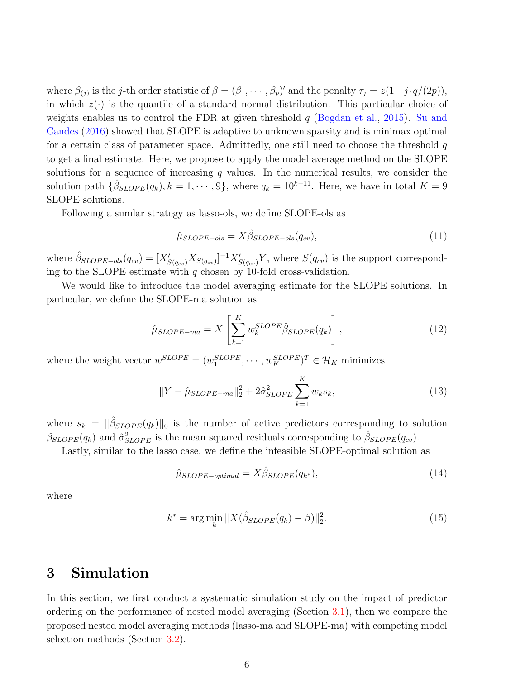where  $\beta_{(j)}$  is the j-th order statistic of  $\beta = (\beta_1, \dots, \beta_p)'$  and the penalty  $\tau_j = z(1-j \cdot q/(2p)),$ in which  $z(\cdot)$  is the quantile of a standard normal distribution. This particular choice of weights enables us to control the FDR at given threshold  $q$  [\(Bogdan et al.,](#page-12-2) [2015\)](#page-12-2). [Su and](#page-14-9) [Candes](#page-14-9) [\(2016\)](#page-14-9) showed that SLOPE is adaptive to unknown sparsity and is minimax optimal for a certain class of parameter space. Admittedly, one still need to choose the threshold  $q$ to get a final estimate. Here, we propose to apply the model average method on the SLOPE solutions for a sequence of increasing  $q$  values. In the numerical results, we consider the solution path  $\{\hat{\beta}_{SLOPE}(q_k), k = 1, \cdots, 9\}$ , where  $q_k = 10^{k-11}$ . Here, we have in total  $K = 9$ SLOPE solutions.

Following a similar strategy as lasso-ols, we define SLOPE-ols as

$$
\hat{\mu}_{SLOPE-ols} = X \hat{\beta}_{SLOPE-ols}(q_{cv}),\tag{11}
$$

where  $\hat{\beta}_{SLOPE-ols}(q_{cv}) = [X'_{S(q_{cv})} X_{S(q_{cv})}]^{-1} X'_{S(q_{cv})} Y$ , where  $S(q_{cv})$  is the support corresponding to the SLOPE estimate with  $q$  chosen by 10-fold cross-validation.

We would like to introduce the model averaging estimate for the SLOPE solutions. In particular, we define the SLOPE-ma solution as

$$
\hat{\mu}_{SLOPE-ma} = X \left[ \sum_{k=1}^{K} w_k^{SLOPE} \hat{\beta}_{SLOPE}(q_k) \right], \tag{12}
$$

where the weight vector  $w^{SLOPE} = (w_1^{SLOPE}, \dots, w_K^{SLOPE})^T \in \mathcal{H}_K$  minimizes

$$
||Y - \hat{\mu}_{SLOPE-ma}||_2^2 + 2\hat{\sigma}_{SLOPE}^2 \sum_{k=1}^K w_k s_k,
$$
\n(13)

where  $s_k = ||\hat{\beta}_{SLOPE}(q_k)||_0$  is the number of active predictors corresponding to solution  $\beta_{SLOPE}(q_k)$  and  $\hat{\sigma}_{SLOPE}^2$  is the mean squared residuals corresponding to  $\hat{\beta}_{SLOPE}(q_{cv})$ .

Lastly, similar to the lasso case, we define the infeasible SLOPE-optimal solution as

$$
\hat{\mu}_{SLOPE-optimal} = X\hat{\beta}_{SLOPE}(q_{k^*}),\tag{14}
$$

where

$$
k^* = \arg\min_{k} \|X(\hat{\beta}_{SLOPE}(q_k) - \beta)\|_2^2.
$$
 (15)

### <span id="page-5-0"></span>3 Simulation

In this section, we first conduct a systematic simulation study on the impact of predictor ordering on the performance of nested model averaging (Section [3.1\)](#page-6-0), then we compare the proposed nested model averaging methods (lasso-ma and SLOPE-ma) with competing model selection methods (Section [3.2\)](#page-8-0).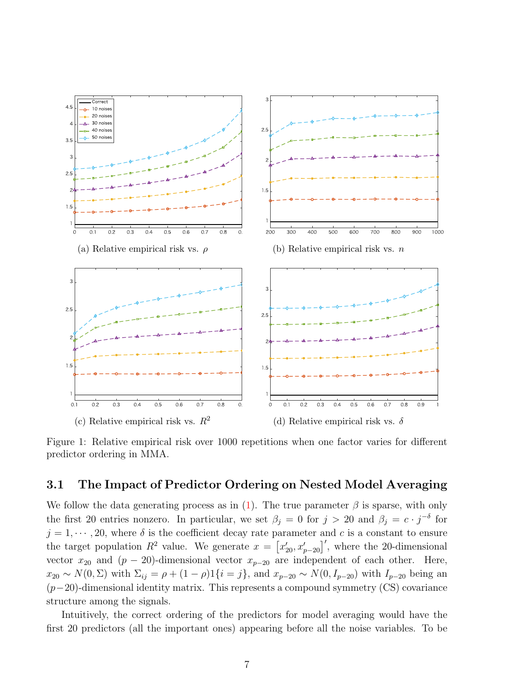<span id="page-6-1"></span>

Figure 1: Relative empirical risk over 1000 repetitions when one factor varies for different predictor ordering in MMA.

#### <span id="page-6-0"></span>3.1 The Impact of Predictor Ordering on Nested Model Averaging

We follow the data generating process as in  $(1)$ . The true parameter  $\beta$  is sparse, with only the first 20 entries nonzero. In particular, we set  $\beta_j = 0$  for  $j > 20$  and  $\beta_j = c \cdot j^{-\delta}$  for  $j = 1, \dots, 20$ , where  $\delta$  is the coefficient decay rate parameter and c is a constant to ensure the target population  $R^2$  value. We generate  $x = \left[x'_{20}, x'_{p-20}\right]'$ , where the 20-dimensional vector  $x_{20}$  and  $(p - 20)$ -dimensional vector  $x_{p-20}$  are independent of each other. Here,  $x_{20} \sim N(0, \Sigma)$  with  $\Sigma_{ij} = \rho + (1 - \rho)1\{i = j\}$ , and  $x_{p-20} \sim N(0, I_{p-20})$  with  $I_{p-20}$  being an  $(p-20)$ -dimensional identity matrix. This represents a compound symmetry (CS) covariance structure among the signals.

Intuitively, the correct ordering of the predictors for model averaging would have the first 20 predictors (all the important ones) appearing before all the noise variables. To be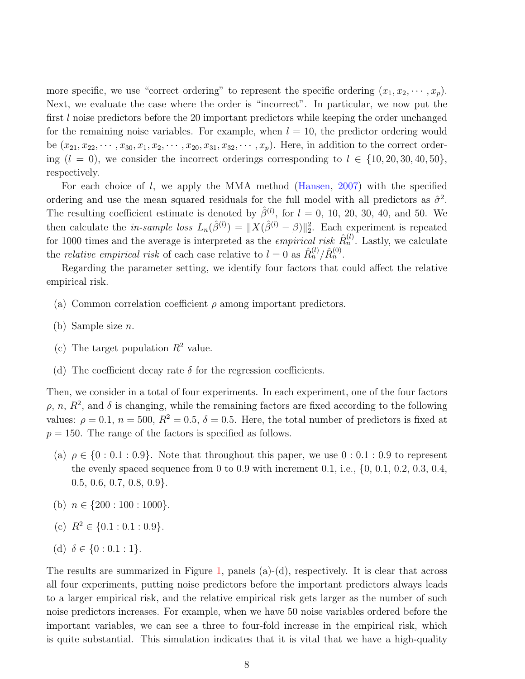more specific, we use "correct ordering" to represent the specific ordering  $(x_1, x_2, \dots, x_p)$ . Next, we evaluate the case where the order is "incorrect". In particular, we now put the first l noise predictors before the 20 important predictors while keeping the order unchanged for the remaining noise variables. For example, when  $l = 10$ , the predictor ordering would be  $(x_{21}, x_{22}, \dots, x_{30}, x_1, x_2, \dots, x_{20}, x_{31}, x_{32}, \dots, x_p)$ . Here, in addition to the correct ordering  $(l = 0)$ , we consider the incorrect orderings corresponding to  $l \in \{10, 20, 30, 40, 50\},\$ respectively.

For each choice of  $l$ , we apply the MMA method [\(Hansen,](#page-13-3) [2007\)](#page-13-3) with the specified ordering and use the mean squared residuals for the full model with all predictors as  $\hat{\sigma}^2$ . The resulting coefficient estimate is denoted by  $\hat{\beta}^{(l)}$ , for  $l = 0, 10, 20, 30, 40,$  and 50. We then calculate the *in-sample loss*  $L_n(\hat{\beta}^{(l)}) = ||X(\hat{\beta}^{(l)} - \beta)||_2^2$ . Each experiment is repeated for 1000 times and the average is interpreted as the *empirical risk*  $\hat{R}_n^{(l)}$ . Lastly, we calculate the *relative empirical risk* of each case relative to  $l = 0$  as  $\hat{R}_n^{(l)} / \hat{R}_n^{(0)}$ .

Regarding the parameter setting, we identify four factors that could affect the relative empirical risk.

- (a) Common correlation coefficient  $\rho$  among important predictors.
- (b) Sample size n.
- (c) The target population  $R^2$  value.
- (d) The coefficient decay rate  $\delta$  for the regression coefficients.

Then, we consider in a total of four experiments. In each experiment, one of the four factors  $\rho$ , n,  $R^2$ , and  $\delta$  is changing, while the remaining factors are fixed according to the following values:  $\rho = 0.1$ ,  $n = 500$ ,  $R^2 = 0.5$ ,  $\delta = 0.5$ . Here, the total number of predictors is fixed at  $p = 150$ . The range of the factors is specified as follows.

- (a)  $\rho \in \{0:0.1:0.9\}$ . Note that throughout this paper, we use  $0:0.1:0.9$  to represent the evenly spaced sequence from 0 to 0.9 with increment 0.1, i.e.,  $\{0, 0.1, 0.2, 0.3, 0.4,$  $0.5, 0.6, 0.7, 0.8, 0.9$ .
- (b)  $n \in \{200:100:1000\}.$
- (c)  $R^2 \in \{0.1 : 0.1 : 0.9\}.$

(d) 
$$
\delta \in \{0: 0.1: 1\}.
$$

The results are summarized in Figure [1,](#page-6-1) panels  $(a)-(d)$ , respectively. It is clear that across all four experiments, putting noise predictors before the important predictors always leads to a larger empirical risk, and the relative empirical risk gets larger as the number of such noise predictors increases. For example, when we have 50 noise variables ordered before the important variables, we can see a three to four-fold increase in the empirical risk, which is quite substantial. This simulation indicates that it is vital that we have a high-quality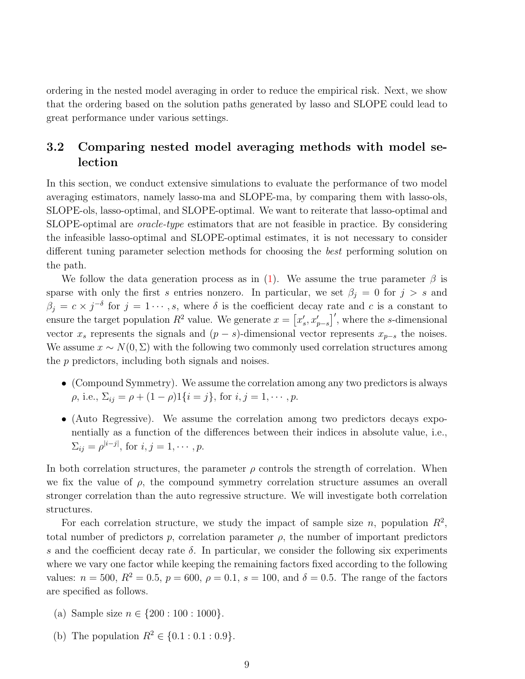ordering in the nested model averaging in order to reduce the empirical risk. Next, we show that the ordering based on the solution paths generated by lasso and SLOPE could lead to great performance under various settings.

#### <span id="page-8-0"></span>3.2 Comparing nested model averaging methods with model selection

In this section, we conduct extensive simulations to evaluate the performance of two model averaging estimators, namely lasso-ma and SLOPE-ma, by comparing them with lasso-ols, SLOPE-ols, lasso-optimal, and SLOPE-optimal. We want to reiterate that lasso-optimal and SLOPE-optimal are oracle-type estimators that are not feasible in practice. By considering the infeasible lasso-optimal and SLOPE-optimal estimates, it is not necessary to consider different tuning parameter selection methods for choosing the best performing solution on the path.

We follow the data generation process as in [\(1\)](#page-2-1). We assume the true parameter  $\beta$  is sparse with only the first s entries nonzero. In particular, we set  $\beta_i = 0$  for  $j > s$  and  $\beta_j = c \times j^{-\delta}$  for  $j = 1 \cdots, s$ , where  $\delta$  is the coefficient decay rate and c is a constant to ensure the target population  $R^2$  value. We generate  $x = \left[x'_s, x'_{p-s}\right]'$ , where the s-dimensional vector  $x_s$  represents the signals and  $(p - s)$ -dimensional vector represents  $x_{p-s}$  the noises. We assume  $x \sim N(0, \Sigma)$  with the following two commonly used correlation structures among the p predictors, including both signals and noises.

- (Compound Symmetry). We assume the correlation among any two predictors is always  $\rho$ , i.e.,  $\Sigma_{ij} = \rho + (1 - \rho)1\{i = j\}$ , for  $i, j = 1, \cdots, p$ .
- (Auto Regressive). We assume the correlation among two predictors decays exponentially as a function of the differences between their indices in absolute value, i.e.,  $\Sigma_{ij} = \rho^{|i-j|}$ , for  $i, j = 1, \cdots, p$ .

In both correlation structures, the parameter  $\rho$  controls the strength of correlation. When we fix the value of  $\rho$ , the compound symmetry correlation structure assumes an overall stronger correlation than the auto regressive structure. We will investigate both correlation structures.

For each correlation structure, we study the impact of sample size n, population  $R^2$ , total number of predictors  $p$ , correlation parameter  $\rho$ , the number of important predictors s and the coefficient decay rate  $\delta$ . In particular, we consider the following six experiments where we vary one factor while keeping the remaining factors fixed according to the following values:  $n = 500$ ,  $R^2 = 0.5$ ,  $p = 600$ ,  $\rho = 0.1$ ,  $s = 100$ , and  $\delta = 0.5$ . The range of the factors are specified as follows.

- (a) Sample size  $n \in \{200 : 100 : 1000\}.$
- (b) The population  $R^2 \in \{0.1 : 0.1 : 0.9\}.$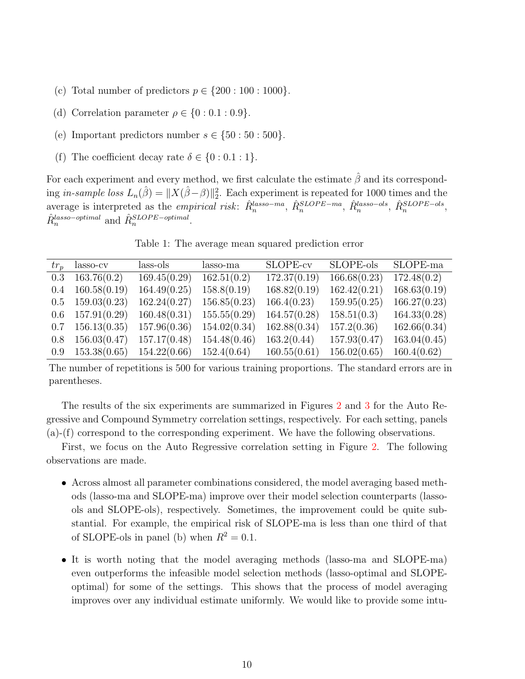- (c) Total number of predictors  $p \in \{200:100:1000\}.$
- (d) Correlation parameter  $\rho \in \{0:0.1:0.9\}.$
- (e) Important predictors number  $s \in \{50:50:500\}.$
- (f) The coefficient decay rate  $\delta \in \{0:0.1:1\}.$

For each experiment and every method, we first calculate the estimate  $\hat{\beta}$  and its corresponding in-sample loss  $L_n(\hat{\beta}) = ||X(\hat{\beta}-\beta)||_2^2$ . Each experiment is repeated for 1000 times and the  $\hat{R}_n^{\text{BLOPE}-\text{obs}}$  interpreted as the *empirical risk*:  $\hat{R}_n^{\text{lasso}-\text{ma}}$ ,  $\hat{R}_n^{\text{SLOPE}-\text{ma}}$ ,  $\hat{R}_n^{\text{lasso}-\text{obs}}$ ,  $\hat{R}_n^{\text{SLOPE}-\text{obs}}$ ,  $\hat{R}^{lasso-optimal}_n$  and  $\hat{R}^{SLOPE-optimal}_n$ .

Table 1: The average mean squared prediction error

<span id="page-9-0"></span>

|     | $tr_n$ lasso-cv          | lass-ols     | lasso-ma     | SLOPE-cv     | SLOPE-ols    | SLOPE-ma     |
|-----|--------------------------|--------------|--------------|--------------|--------------|--------------|
|     | $0.3\quad 163.76(0.2)$   | 169.45(0.29) | 162.51(0.2)  | 172.37(0.19) | 166.68(0.23) | 172.48(0.2)  |
|     | $0.4$ 160.58 $(0.19)$    | 164.49(0.25) | 158.8(0.19)  | 168.82(0.19) | 162.42(0.21) | 168.63(0.19) |
|     | $0.5 \quad 159.03(0.23)$ | 162.24(0.27) | 156.85(0.23) | 166.4(0.23)  | 159.95(0.25) | 166.27(0.23) |
|     | $0.6$ 157.91 $(0.29)$    | 160.48(0.31) | 155.55(0.29) | 164.57(0.28) | 158.51(0.3)  | 164.33(0.28) |
|     | $0.7 \quad 156.13(0.35)$ | 157.96(0.36) | 154.02(0.34) | 162.88(0.34) | 157.2(0.36)  | 162.66(0.34) |
| 0.8 | 156.03(0.47)             | 157.17(0.48) | 154.48(0.46) | 163.2(0.44)  | 157.93(0.47) | 163.04(0.45) |
|     | $0.9 \quad 153.38(0.65)$ | 154.22(0.66) | 152.4(0.64)  | 160.55(0.61) | 156.02(0.65) | 160.4(0.62)  |

The number of repetitions is 500 for various training proportions. The standard errors are in parentheses.

The results of the six experiments are summarized in Figures [2](#page-15-0) and [3](#page-16-0) for the Auto Regressive and Compound Symmetry correlation settings, respectively. For each setting, panels (a)-(f) correspond to the corresponding experiment. We have the following observations.

First, we focus on the Auto Regressive correlation setting in Figure [2.](#page-15-0) The following observations are made.

- Across almost all parameter combinations considered, the model averaging based methods (lasso-ma and SLOPE-ma) improve over their model selection counterparts (lassools and SLOPE-ols), respectively. Sometimes, the improvement could be quite substantial. For example, the empirical risk of SLOPE-ma is less than one third of that of SLOPE-ols in panel (b) when  $R^2 = 0.1$ .
- It is worth noting that the model averaging methods (lasso-ma and SLOPE-ma) even outperforms the infeasible model selection methods (lasso-optimal and SLOPEoptimal) for some of the settings. This shows that the process of model averaging improves over any individual estimate uniformly. We would like to provide some intu-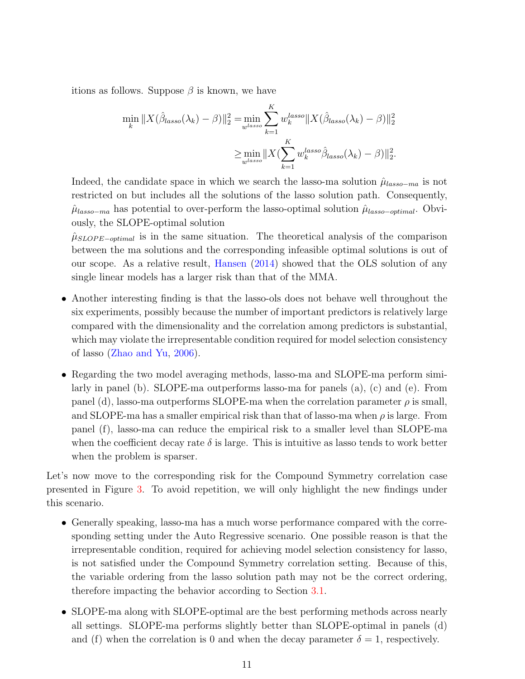itions as follows. Suppose  $\beta$  is known, we have

$$
\min_{k} \|X(\hat{\beta}_{lasso}(\lambda_k) - \beta)\|_2^2 = \min_{w^{lasso}} \sum_{k=1}^{K} w_k^{lasso} \|X(\hat{\beta}_{lasso}(\lambda_k) - \beta)\|_2^2
$$

$$
\geq \min_{w^{lasso}} \|X(\sum_{k=1}^{K} w_k^{lasso} \hat{\beta}_{lasso}(\lambda_k) - \beta)\|_2^2.
$$

Indeed, the candidate space in which we search the lasso-ma solution  $\hat{\mu}_{lasso-mn}$  is not restricted on but includes all the solutions of the lasso solution path. Consequently,  $\hat{\mu}_{lasso-ma}$  has potential to over-perform the lasso-optimal solution  $\hat{\mu}_{lasso-optimal}$ . Obviously, the SLOPE-optimal solution

 $\hat{\mu}_{SLOPE-optimal}$  is in the same situation. The theoretical analysis of the comparison between the ma solutions and the corresponding infeasible optimal solutions is out of our scope. As a relative result, [Hansen](#page-13-12) [\(2014\)](#page-13-12) showed that the OLS solution of any single linear models has a larger risk than that of the MMA.

- Another interesting finding is that the lasso-ols does not behave well throughout the six experiments, possibly because the number of important predictors is relatively large compared with the dimensionality and the correlation among predictors is substantial, which may violate the irrepresentable condition required for model selection consistency of lasso [\(Zhao and Yu,](#page-14-3) [2006\)](#page-14-3).
- Regarding the two model averaging methods, lasso-ma and SLOPE-ma perform similarly in panel (b). SLOPE-ma outperforms lasso-ma for panels (a), (c) and (e). From panel (d), lasso-ma outperforms SLOPE-ma when the correlation parameter  $\rho$  is small, and SLOPE-ma has a smaller empirical risk than that of lasso-ma when  $\rho$  is large. From panel (f), lasso-ma can reduce the empirical risk to a smaller level than SLOPE-ma when the coefficient decay rate  $\delta$  is large. This is intuitive as lasso tends to work better when the problem is sparser.

Let's now move to the corresponding risk for the Compound Symmetry correlation case presented in Figure [3.](#page-16-0) To avoid repetition, we will only highlight the new findings under this scenario.

- Generally speaking, lasso-ma has a much worse performance compared with the corresponding setting under the Auto Regressive scenario. One possible reason is that the irrepresentable condition, required for achieving model selection consistency for lasso, is not satisfied under the Compound Symmetry correlation setting. Because of this, the variable ordering from the lasso solution path may not be the correct ordering, therefore impacting the behavior according to Section [3.1.](#page-6-0)
- SLOPE-ma along with SLOPE-optimal are the best performing methods across nearly all settings. SLOPE-ma performs slightly better than SLOPE-optimal in panels (d) and (f) when the correlation is 0 and when the decay parameter  $\delta = 1$ , respectively.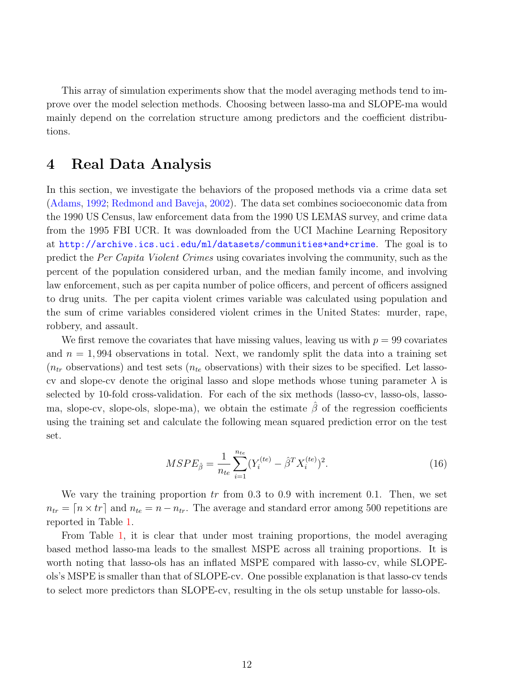This array of simulation experiments show that the model averaging methods tend to improve over the model selection methods. Choosing between lasso-ma and SLOPE-ma would mainly depend on the correlation structure among predictors and the coefficient distributions.

### <span id="page-11-0"></span>4 Real Data Analysis

In this section, we investigate the behaviors of the proposed methods via a crime data set [\(Adams,](#page-12-8) [1992;](#page-12-8) [Redmond and Baveja,](#page-13-13) [2002\)](#page-13-13). The data set combines socioeconomic data from the 1990 US Census, law enforcement data from the 1990 US LEMAS survey, and crime data from the 1995 FBI UCR. It was downloaded from the UCI Machine Learning Repository at <http://archive.ics.uci.edu/ml/datasets/communities+and+crime>. The goal is to predict the Per Capita Violent Crimes using covariates involving the community, such as the percent of the population considered urban, and the median family income, and involving law enforcement, such as per capita number of police officers, and percent of officers assigned to drug units. The per capita violent crimes variable was calculated using population and the sum of crime variables considered violent crimes in the United States: murder, rape, robbery, and assault.

We first remove the covariates that have missing values, leaving us with  $p = 99$  covariates and  $n = 1,994$  observations in total. Next, we randomly split the data into a training set  $(n_{tr}$  observations) and test sets  $(n_{te}$  observations) with their sizes to be specified. Let lassocv and slope-cv denote the original lasso and slope methods whose tuning parameter  $\lambda$  is selected by 10-fold cross-validation. For each of the six methods (lasso-cv, lasso-ols, lassoma, slope-cv, slope-ols, slope-ma), we obtain the estimate  $\hat{\beta}$  of the regression coefficients using the training set and calculate the following mean squared prediction error on the test set.

$$
MSPE_{\hat{\beta}} = \frac{1}{n_{te}} \sum_{i=1}^{n_{te}} (Y_i^{(te)} - \hat{\beta}^T X_i^{(te)})^2.
$$
 (16)

We vary the training proportion  $tr$  from 0.3 to 0.9 with increment 0.1. Then, we set  $n_{tr} = [n \times tr]$  and  $n_{te} = n - n_{tr}$ . The average and standard error among 500 repetitions are reported in Table [1.](#page-9-0)

From Table [1,](#page-9-0) it is clear that under most training proportions, the model averaging based method lasso-ma leads to the smallest MSPE across all training proportions. It is worth noting that lasso-ols has an inflated MSPE compared with lasso-cv, while SLOPEols's MSPE is smaller than that of SLOPE-cv. One possible explanation is that lasso-cv tends to select more predictors than SLOPE-cv, resulting in the ols setup unstable for lasso-ols.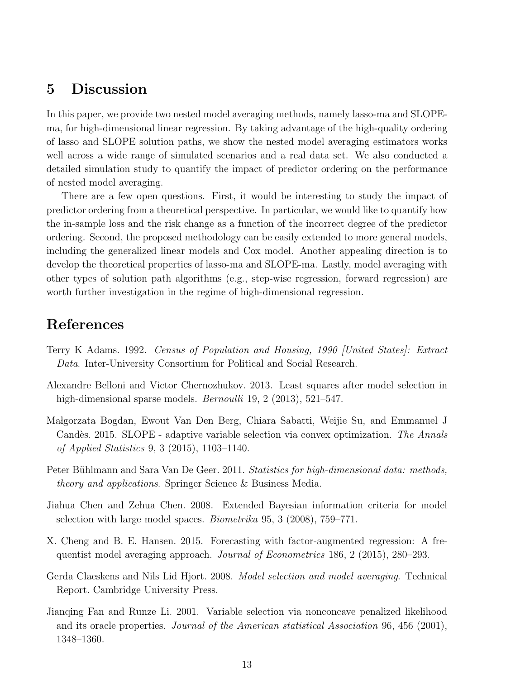### <span id="page-12-6"></span>5 Discussion

In this paper, we provide two nested model averaging methods, namely lasso-ma and SLOPEma, for high-dimensional linear regression. By taking advantage of the high-quality ordering of lasso and SLOPE solution paths, we show the nested model averaging estimators works well across a wide range of simulated scenarios and a real data set. We also conducted a detailed simulation study to quantify the impact of predictor ordering on the performance of nested model averaging.

There are a few open questions. First, it would be interesting to study the impact of predictor ordering from a theoretical perspective. In particular, we would like to quantify how the in-sample loss and the risk change as a function of the incorrect degree of the predictor ordering. Second, the proposed methodology can be easily extended to more general models, including the generalized linear models and Cox model. Another appealing direction is to develop the theoretical properties of lasso-ma and SLOPE-ma. Lastly, model averaging with other types of solution path algorithms (e.g., step-wise regression, forward regression) are worth further investigation in the regime of high-dimensional regression.

## References

- <span id="page-12-8"></span>Terry K Adams. 1992. Census of Population and Housing, 1990 [United States]: Extract Data. Inter-University Consortium for Political and Social Research.
- <span id="page-12-7"></span>Alexandre Belloni and Victor Chernozhukov. 2013. Least squares after model selection in high-dimensional sparse models. *Bernoulli* 19, 2 (2013), 521–547.
- <span id="page-12-2"></span>Ma lgorzata Bogdan, Ewout Van Den Berg, Chiara Sabatti, Weijie Su, and Emmanuel J Candès. 2015. SLOPE - adaptive variable selection via convex optimization. The Annals of Applied Statistics 9, 3 (2015), 1103–1140.
- <span id="page-12-0"></span>Peter Bühlmann and Sara Van De Geer. 2011. Statistics for high-dimensional data: methods, theory and applications. Springer Science & Business Media.
- <span id="page-12-3"></span>Jiahua Chen and Zehua Chen. 2008. Extended Bayesian information criteria for model selection with large model spaces. Biometrika 95, 3 (2008), 759–771.
- <span id="page-12-4"></span>X. Cheng and B. E. Hansen. 2015. Forecasting with factor-augmented regression: A frequentist model averaging approach. Journal of Econometrics 186, 2 (2015), 280–293.
- <span id="page-12-5"></span>Gerda Claeskens and Nils Lid Hjort. 2008. Model selection and model averaging. Technical Report. Cambridge University Press.
- <span id="page-12-1"></span>Jianqing Fan and Runze Li. 2001. Variable selection via nonconcave penalized likelihood and its oracle properties. Journal of the American statistical Association 96, 456 (2001), 1348–1360.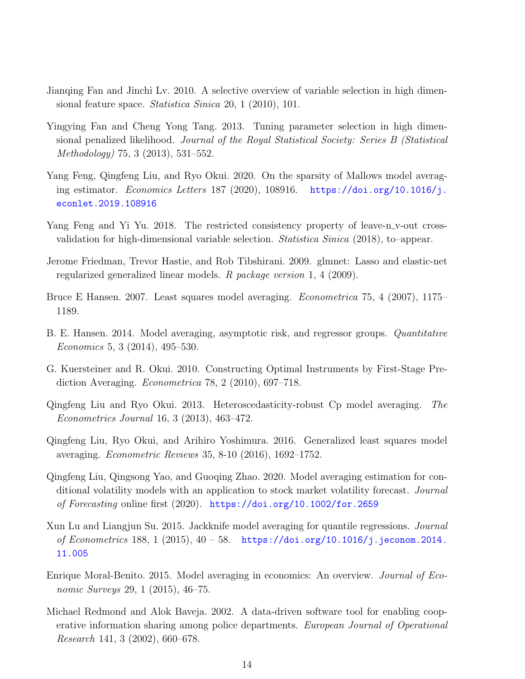- <span id="page-13-0"></span>Jianqing Fan and Jinchi Lv. 2010. A selective overview of variable selection in high dimensional feature space. Statistica Sinica 20, 1 (2010), 101.
- <span id="page-13-1"></span>Yingying Fan and Cheng Yong Tang. 2013. Tuning parameter selection in high dimensional penalized likelihood. Journal of the Royal Statistical Society: Series B (Statistical Methodology) 75, 3 (2013), 531–552.
- <span id="page-13-6"></span>Yang Feng, Qingfeng Liu, and Ryo Okui. 2020. On the sparsity of Mallows model averaging estimator. Economics Letters 187 (2020), 108916. [https://doi.org/10.1016/j.](https://doi.org/10.1016/j.econlet.2019.108916) [econlet.2019.108916](https://doi.org/10.1016/j.econlet.2019.108916)
- <span id="page-13-2"></span>Yang Feng and Yi Yu. 2018. The restricted consistency property of leave-n-v-out crossvalidation for high-dimensional variable selection. Statistica Sinica (2018), to–appear.
- <span id="page-13-11"></span>Jerome Friedman, Trevor Hastie, and Rob Tibshirani. 2009. glmnet: Lasso and elastic-net regularized generalized linear models. R package version 1, 4 (2009).
- <span id="page-13-3"></span>Bruce E Hansen. 2007. Least squares model averaging. Econometrica 75, 4 (2007), 1175– 1189.
- <span id="page-13-12"></span>B. E. Hansen. 2014. Model averaging, asymptotic risk, and regressor groups. *Quantitative* Economics 5, 3 (2014), 495–530.
- <span id="page-13-7"></span>G. Kuersteiner and R. Okui. 2010. Constructing Optimal Instruments by First-Stage Prediction Averaging. Econometrica 78, 2 (2010), 697–718.
- <span id="page-13-4"></span>Qingfeng Liu and Ryo Okui. 2013. Heteroscedasticity-robust Cp model averaging. The Econometrics Journal 16, 3 (2013), 463–472.
- <span id="page-13-5"></span>Qingfeng Liu, Ryo Okui, and Arihiro Yoshimura. 2016. Generalized least squares model averaging. Econometric Reviews 35, 8-10 (2016), 1692–1752.
- <span id="page-13-9"></span>Qingfeng Liu, Qingsong Yao, and Guoqing Zhao. 2020. Model averaging estimation for conditional volatility models with an application to stock market volatility forecast. Journal of Forecasting online first (2020). <https://doi.org/10.1002/for.2659>
- <span id="page-13-8"></span>Xun Lu and Liangjun Su. 2015. Jackknife model averaging for quantile regressions. Journal of Econometrics 188, 1 (2015),  $40 - 58$ . [https://doi.org/10.1016/j.jeconom.2014.](https://doi.org/10.1016/j.jeconom.2014.11.005) [11.005](https://doi.org/10.1016/j.jeconom.2014.11.005)
- <span id="page-13-10"></span>Enrique Moral-Benito. 2015. Model averaging in economics: An overview. Journal of Economic Surveys 29, 1 (2015), 46–75.
- <span id="page-13-13"></span>Michael Redmond and Alok Baveja. 2002. A data-driven software tool for enabling cooperative information sharing among police departments. European Journal of Operational Research 141, 3 (2002), 660–678.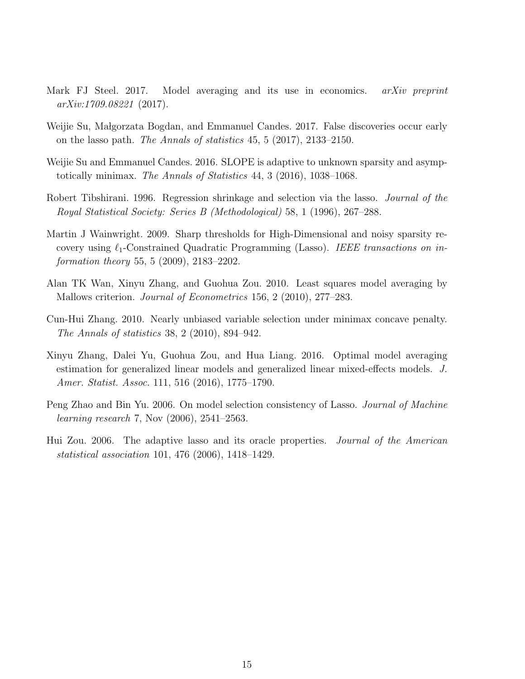- <span id="page-14-7"></span>Mark FJ Steel. 2017. Model averaging and its use in economics. arXiv preprint arXiv:1709.08221 (2017).
- <span id="page-14-8"></span>Weijie Su, Małgorzata Bogdan, and Emmanuel Candes. 2017. False discoveries occur early on the lasso path. The Annals of statistics 45, 5 (2017), 2133–2150.
- <span id="page-14-9"></span>Weijie Su and Emmanuel Candes. 2016. SLOPE is adaptive to unknown sparsity and asymptotically minimax. The Annals of Statistics 44, 3 (2016), 1038–1068.
- <span id="page-14-0"></span>Robert Tibshirani. 1996. Regression shrinkage and selection via the lasso. Journal of the Royal Statistical Society: Series B (Methodological) 58, 1 (1996), 267–288.
- <span id="page-14-4"></span>Martin J Wainwright. 2009. Sharp thresholds for High-Dimensional and noisy sparsity recovery using  $\ell_1$ -Constrained Quadratic Programming (Lasso). IEEE transactions on information theory 55, 5 (2009), 2183–2202.
- <span id="page-14-5"></span>Alan TK Wan, Xinyu Zhang, and Guohua Zou. 2010. Least squares model averaging by Mallows criterion. Journal of Econometrics 156, 2 (2010), 277–283.
- <span id="page-14-2"></span>Cun-Hui Zhang. 2010. Nearly unbiased variable selection under minimax concave penalty. The Annals of statistics 38, 2 (2010), 894–942.
- <span id="page-14-6"></span>Xinyu Zhang, Dalei Yu, Guohua Zou, and Hua Liang. 2016. Optimal model averaging estimation for generalized linear models and generalized linear mixed-effects models. J. Amer. Statist. Assoc. 111, 516 (2016), 1775–1790.
- <span id="page-14-3"></span>Peng Zhao and Bin Yu. 2006. On model selection consistency of Lasso. *Journal of Machine* learning research 7, Nov (2006), 2541–2563.
- <span id="page-14-1"></span>Hui Zou. 2006. The adaptive lasso and its oracle properties. Journal of the American statistical association 101, 476 (2006), 1418–1429.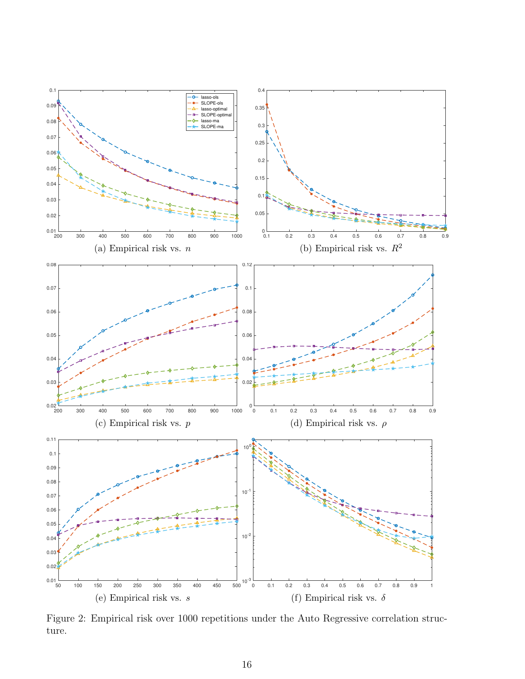<span id="page-15-0"></span>

Figure 2: Empirical risk over 1000 repetitions under the Auto Regressive correlation structure.